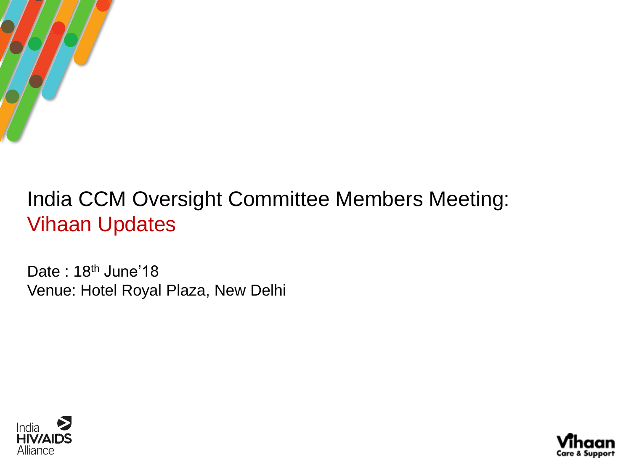

# India CCM Oversight Committee Members Meeting: Vihaan Updates

Date: 18<sup>th</sup> June'18 Venue: Hotel Royal Plaza, New Delhi



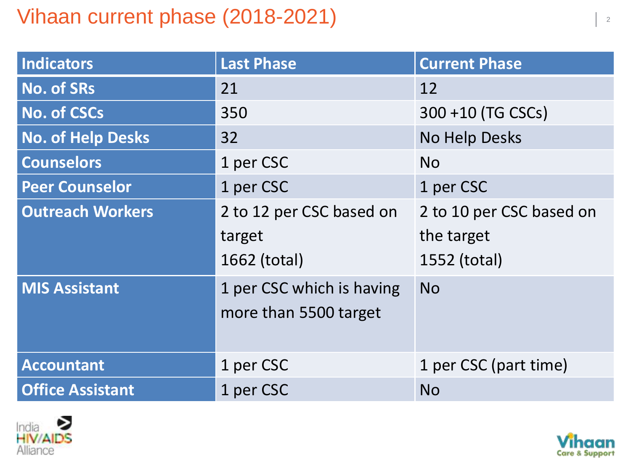# Vihaan current phase  $(2018-2021)$

| Indicators               | <b>Last Phase</b>         | <b>Current Phase</b>     |
|--------------------------|---------------------------|--------------------------|
| <b>No. of SRs</b>        | 21                        | 12                       |
| No. of CSCs              | 350                       | 300 +10 (TG CSCs)        |
| <b>No. of Help Desks</b> | 32                        | No Help Desks            |
| <b>Counselors</b>        | 1 per CSC                 | <b>No</b>                |
| <b>Peer Counselor</b>    | 1 per CSC                 | 1 per CSC                |
| <b>Outreach Workers</b>  | 2 to 12 per CSC based on  | 2 to 10 per CSC based on |
|                          | target                    | the target               |
|                          | 1662 (total)              | 1552 (total)             |
| <b>MIS Assistant</b>     | 1 per CSC which is having | <b>No</b>                |
|                          | more than 5500 target     |                          |
|                          |                           |                          |
| <b>Accountant</b>        | 1 per CSC                 | 1 per CSC (part time)    |
| <b>Office Assistant</b>  | 1 per CSC                 | <b>No</b>                |



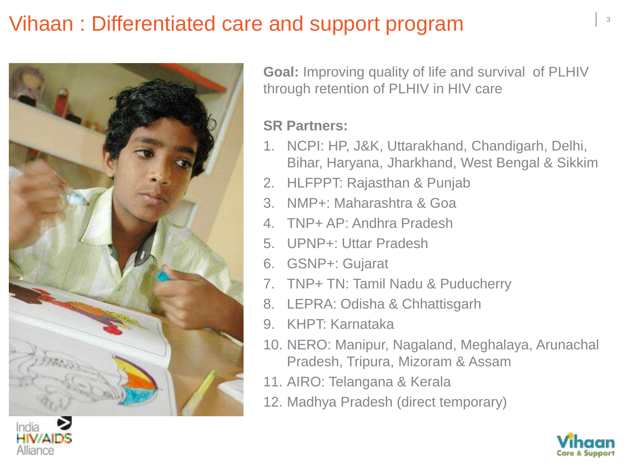# Vihaan : Differentiated care and support program



**Goal:** Improving quality of life and survival of PLHIV through retention of PLHIV in HIV care

#### **SR Partners:**

- 1. NCPI: HP, J&K, Uttarakhand, Chandigarh, Delhi, Bihar, Haryana, Jharkhand, West Bengal & Sikkim
- 2. HLFPPT: Rajasthan & Punjab
- 3. NMP+: Maharashtra & Goa
- 4. TNP+ AP: Andhra Pradesh
- 5. UPNP+: Uttar Pradesh
- 6. GSNP+: Gujarat
- 7. TNP+ TN: Tamil Nadu & Puducherry
- 8. LEPRA: Odisha & Chhattisgarh
- 9. KHPT: Karnataka
- 10. NERO: Manipur, Nagaland, Meghalaya, Arunachal Pradesh, Tripura, Mizoram & Assam
- 11. AIRO: Telangana & Kerala
- 12. Madhya Pradesh (direct temporary)



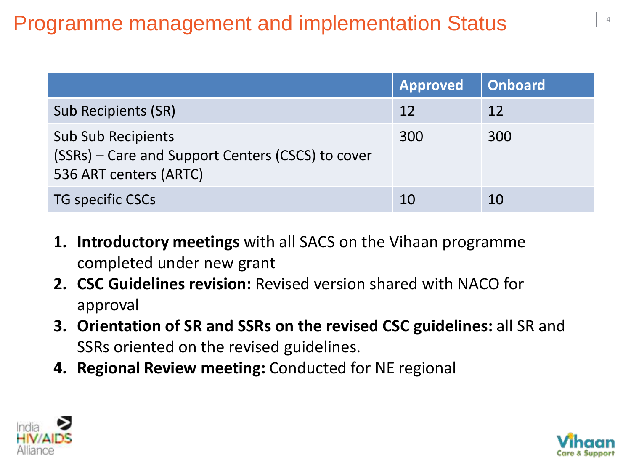# **Programme management and implementation Status**

|                                                                                                          | <b>Approved</b> | <b>Onboard</b> |
|----------------------------------------------------------------------------------------------------------|-----------------|----------------|
| Sub Recipients (SR)                                                                                      | 12              | 12             |
| <b>Sub Sub Recipients</b><br>(SSRs) – Care and Support Centers (CSCS) to cover<br>536 ART centers (ARTC) | 300             | 300            |
| <b>TG specific CSCs</b>                                                                                  | 10              | 10             |

- **1. Introductory meetings** with all SACS on the Vihaan programme completed under new grant
- **2. CSC Guidelines revision:** Revised version shared with NACO for approval
- **3. Orientation of SR and SSRs on the revised CSC guidelines:** all SR and SSRs oriented on the revised guidelines.
- **4. Regional Review meeting:** Conducted for NE regional



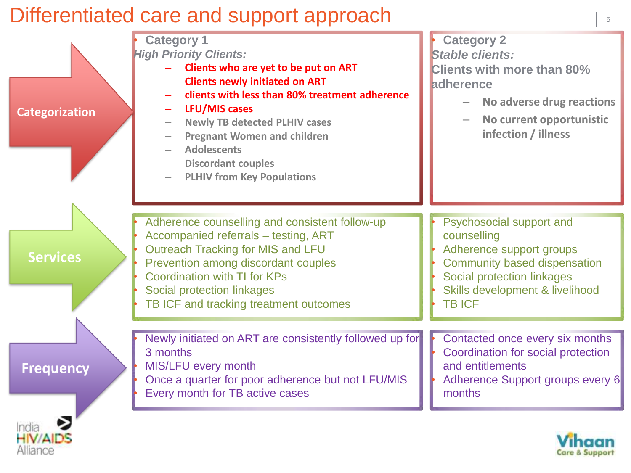### Differentiated care and support approach

Alliance



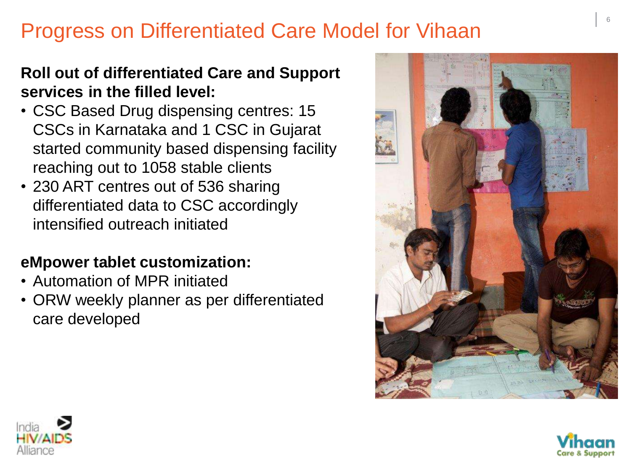# Progress on Differentiated Care Model for Vihaan

#### **Roll out of differentiated Care and Support services in the filled level:**

- CSC Based Drug dispensing centres: 15 CSCs in Karnataka and 1 CSC in Gujarat started community based dispensing facility reaching out to 1058 stable clients
- 230 ART centres out of 536 sharing differentiated data to CSC accordingly intensified outreach initiated

#### **eMpower tablet customization:**

- Automation of MPR initiated
- ORW weekly planner as per differentiated care developed





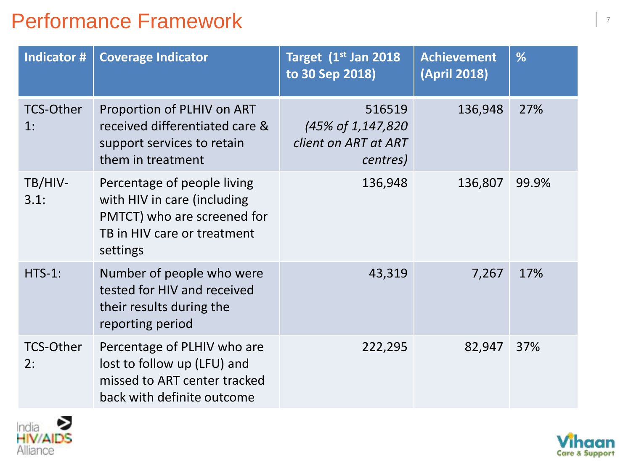## Performance Framework **Performance Framework**

| Indicator #            | <b>Coverage Indicator</b>                                                                                                            | Target 1 <sup>st</sup> Jan 2018<br>to 30 Sep 2018)               | <b>Achievement</b><br><b>(April 2018)</b> | %     |
|------------------------|--------------------------------------------------------------------------------------------------------------------------------------|------------------------------------------------------------------|-------------------------------------------|-------|
| <b>TCS-Other</b><br>1: | Proportion of PLHIV on ART<br>received differentiated care &<br>support services to retain<br>them in treatment                      | 516519<br>(45% of 1,147,820)<br>client on ART at ART<br>centres) | 136,948                                   | 27%   |
| TB/HIV-<br>3.1:        | Percentage of people living<br>with HIV in care (including<br>PMTCT) who are screened for<br>TB in HIV care or treatment<br>settings | 136,948                                                          | 136,807                                   | 99.9% |
| $HTS-1:$               | Number of people who were<br>tested for HIV and received<br>their results during the<br>reporting period                             | 43,319                                                           | 7,267                                     | 17%   |
| <b>TCS-Other</b><br>2: | Percentage of PLHIV who are<br>lost to follow up (LFU) and<br>missed to ART center tracked<br>back with definite outcome             | 222,295                                                          | 82,947                                    | 37%   |



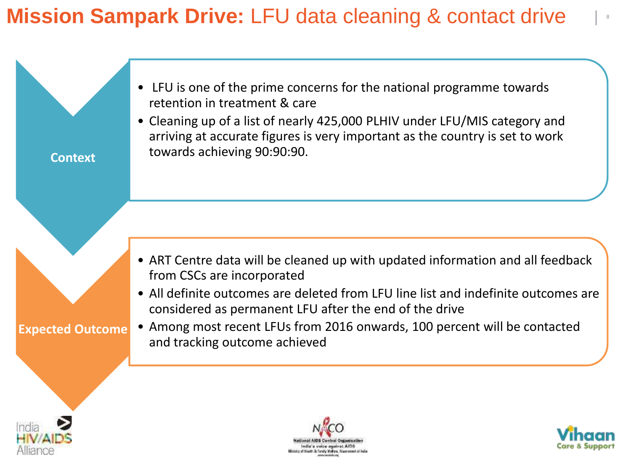# **Mission Sampark Drive: LFU data cleaning & contact drive**

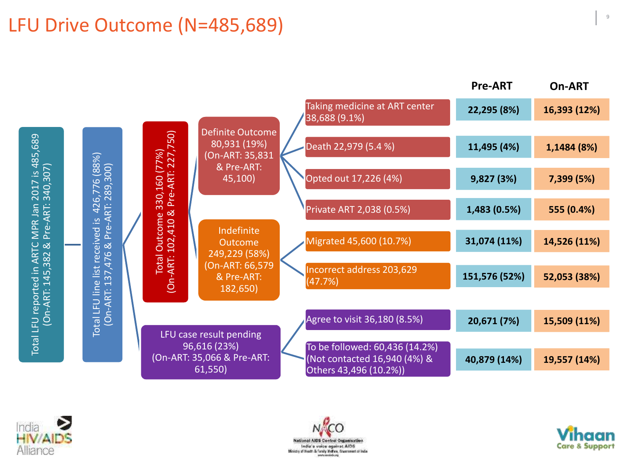#### LFU Drive Outcome (N=485,689)







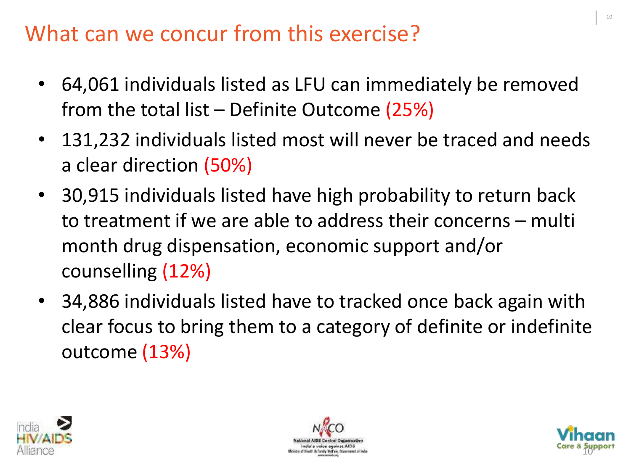# What can we concur from this exercise?

- 64,061 individuals listed as LFU can immediately be removed from the total list – Definite Outcome  $(25%)$
- 131,232 individuals listed most will never be traced and needs a clear direction (50%)
- 30,915 individuals listed have high probability to return back to treatment if we are able to address their concerns – multi month drug dispensation, economic support and/or counselling (12%)
- 34,886 individuals listed have to tracked once back again with clear focus to bring them to a category of definite or indefinite outcome (13%)





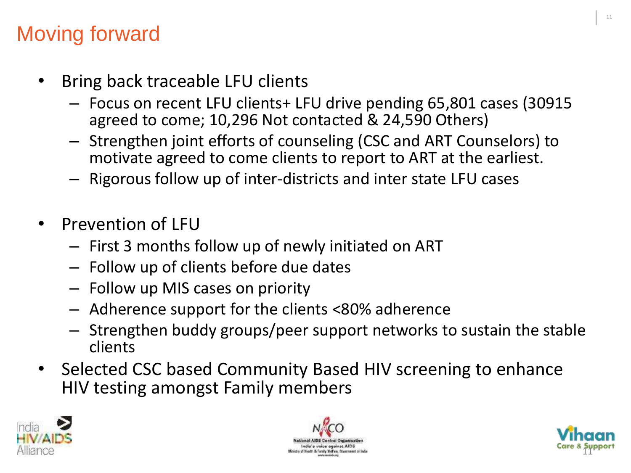# Moving forward

- Bring back traceable LFU clients
	- Focus on recent LFU clients+ LFU drive pending 65,801 cases (30915 agreed to come; 10,296 Not contacted & 24,590 Others)
	- Strengthen joint efforts of counseling (CSC and ART Counselors) to motivate agreed to come clients to report to ART at the earliest.
	- Rigorous follow up of inter-districts and inter state LFU cases
- Prevention of LFU
	- First 3 months follow up of newly initiated on ART
	- Follow up of clients before due dates
	- Follow up MIS cases on priority
	- Adherence support for the clients <80% adherence
	- Strengthen buddy groups/peer support networks to sustain the stable clients
- Selected CSC based Community Based HIV screening to enhance HIV testing amongst Family members





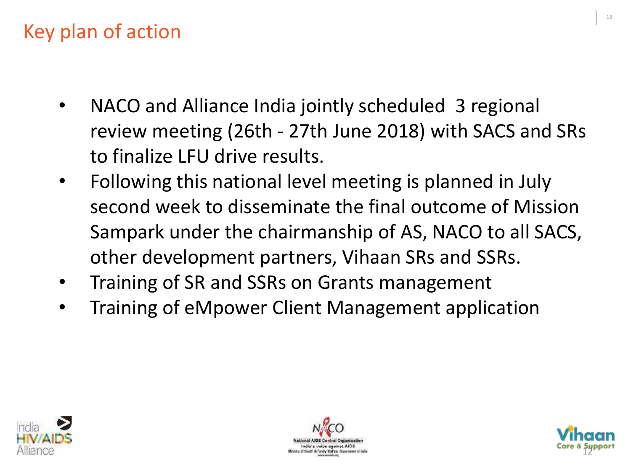# Key plan of action

- NACO and Alliance India jointly scheduled 3 regional review meeting (26th - 27th June 2018) with SACS and SRs to finalize LFU drive results.
- Following this national level meeting is planned in July second week to disseminate the final outcome of Mission Sampark under the chairmanship of AS, NACO to all SACS, other development partners, Vihaan SRs and SSRs.
- Training of SR and SSRs on Grants management
- Training of eMpower Client Management application





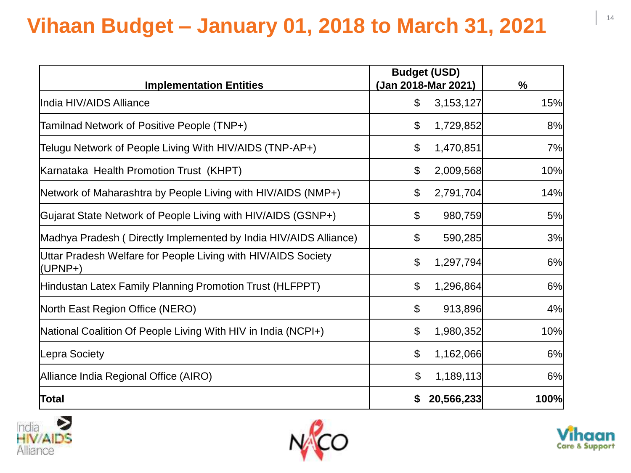# **Vihaan Budget – January 01, 2018 to March 31, 2021**

| <b>Implementation Entities</b>                                           | <b>Budget (USD)</b><br>(Jan 2018-Mar 2021) |            | $\frac{9}{6}$ |  |
|--------------------------------------------------------------------------|--------------------------------------------|------------|---------------|--|
| India HIV/AIDS Alliance                                                  | \$                                         | 3,153,127  | 15%           |  |
| Tamilnad Network of Positive People (TNP+)                               | \$                                         | 1,729,852  | 8%            |  |
| Telugu Network of People Living With HIV/AIDS (TNP-AP+)                  | \$                                         | 1,470,851  | 7%            |  |
| Karnataka Health Promotion Trust (KHPT)                                  | \$                                         | 2,009,568  | 10%           |  |
| Network of Maharashtra by People Living with HIV/AIDS (NMP+)             | \$                                         | 2,791,704  | 14%           |  |
| Gujarat State Network of People Living with HIV/AIDS (GSNP+)             | \$                                         | 980,759    | 5%            |  |
| Madhya Pradesh (Directly Implemented by India HIV/AIDS Alliance)         | \$                                         | 590,285    | 3%            |  |
| Uttar Pradesh Welfare for People Living with HIV/AIDS Society<br>(UPNP+) | \$                                         | 1,297,794  | 6%            |  |
| Hindustan Latex Family Planning Promotion Trust (HLFPPT)                 | \$                                         | 1,296,864  | 6%            |  |
| North East Region Office (NERO)                                          | \$                                         | 913,896    | 4%            |  |
| National Coalition Of People Living With HIV in India (NCPI+)            | \$                                         | 1,980,352  | 10%           |  |
| Lepra Society                                                            | \$                                         | 1,162,066  | 6%            |  |
| Alliance India Regional Office (AIRO)                                    | $\boldsymbol{\mathsf{S}}$                  | 1,189,113  | 6%            |  |
| Total                                                                    |                                            | 20,566,233 | 100%          |  |





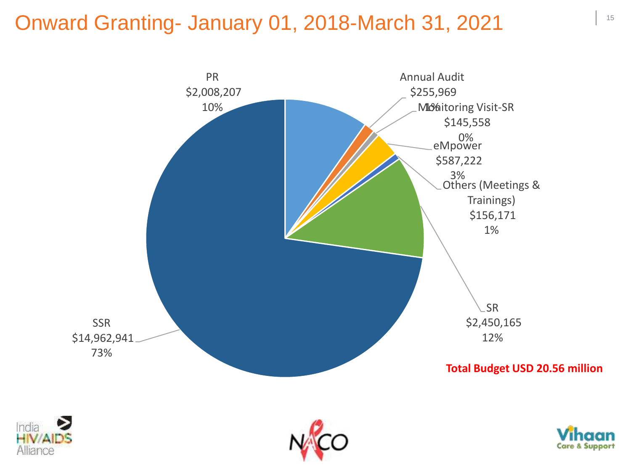#### Onward Granting- January 01, 2018-March 31, 2021







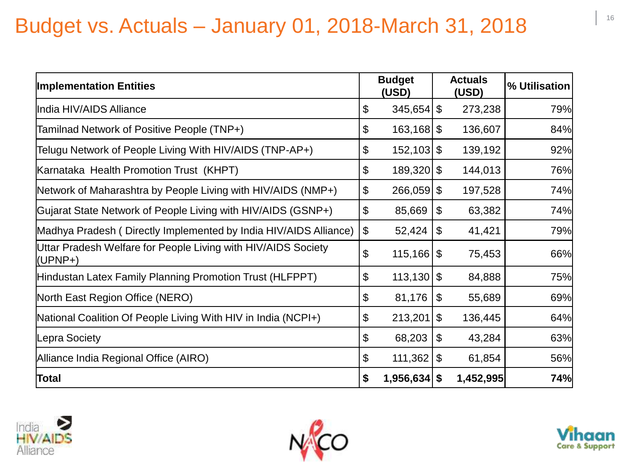# Budget vs. Actuals – January 01, 2018-March 31, 2018

| <b>Implementation Entities</b>                                           |                           | <b>Budget</b><br>(USD) |                            | <b>Actuals</b><br>(USD) | % Utilisation |
|--------------------------------------------------------------------------|---------------------------|------------------------|----------------------------|-------------------------|---------------|
| India HIV/AIDS Alliance                                                  | \$                        | $345,654$ \$           |                            | 273,238                 | 79%           |
| Tamilnad Network of Positive People (TNP+)                               | \$                        | $163,168$ \$           |                            | 136,607                 | 84%           |
| Telugu Network of People Living With HIV/AIDS (TNP-AP+)                  | $\boldsymbol{\mathsf{S}}$ | $152,103$ \$           |                            | 139,192                 | 92%           |
| Karnataka Health Promotion Trust (KHPT)                                  | \$                        | 189,320                | $\mathfrak{S}$             | 144,013                 | 76%           |
| Network of Maharashtra by People Living with HIV/AIDS (NMP+)             | \$                        | $266,059$ \$           |                            | 197,528                 | 74%           |
| Gujarat State Network of People Living with HIV/AIDS (GSNP+)             | \$                        | 85,669                 | $\boldsymbol{\mathsf{\$}}$ | 63,382                  | 74%           |
| Madhya Pradesh (Directly Implemented by India HIV/AIDS Alliance)         | \$                        | 52,424                 | \$                         | 41,421                  | 79%           |
| Uttar Pradesh Welfare for People Living with HIV/AIDS Society<br>(UPNP+) | \$                        | 115,166                | \$                         | 75,453                  | 66%           |
| Hindustan Latex Family Planning Promotion Trust (HLFPPT)                 | \$                        | 113,130                | $\mathfrak{S}$             | 84,888                  | 75%           |
| North East Region Office (NERO)                                          | \$                        | 81,176                 | \$                         | 55,689                  | 69%           |
| National Coalition Of People Living With HIV in India (NCPI+)            | \$                        | 213,201                | $\$\$                      | 136,445                 | 64%           |
| Lepra Society                                                            | \$                        | 68,203                 | $\boldsymbol{\mathsf{\$}}$ | 43,284                  | 63%           |
| Alliance India Regional Office (AIRO)                                    | $\boldsymbol{\theta}$     | 111,362                | \$                         | 61,854                  | 56%           |
| Total                                                                    | \$                        | 1,956,634              | \$                         | 1,452,995               | 74%           |





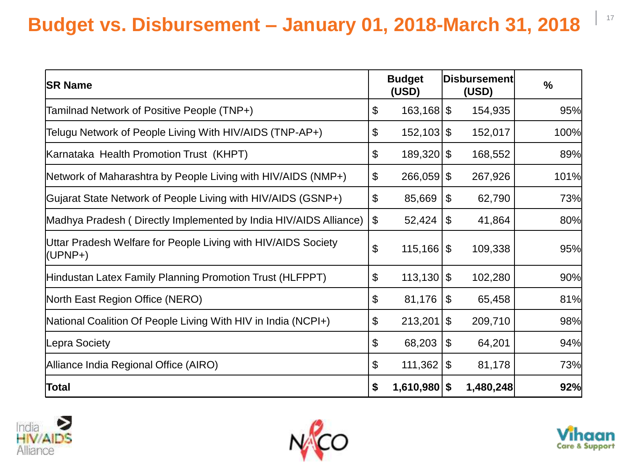#### $\Big|$  17 **Budget vs. Disbursement – January 01, 2018-March 31, 2018**

| <b>SR Name</b>                                                           |                | <b>Budget</b><br>(USD)  |                            | Disbursement<br>(USD) | $\frac{9}{6}$ |
|--------------------------------------------------------------------------|----------------|-------------------------|----------------------------|-----------------------|---------------|
| Tamilnad Network of Positive People (TNP+)                               | \$             | $163,168$ \$            |                            | 154,935               | 95%           |
| Telugu Network of People Living With HIV/AIDS (TNP-AP+)                  | \$             | $152,103$ \$            |                            | 152,017               | 100%          |
| Karnataka Health Promotion Trust (KHPT)                                  | \$             | $189,320$ \$            |                            | 168,552               | 89%           |
| Network of Maharashtra by People Living with HIV/AIDS (NMP+)             | \$             | $266,059$ \$            |                            | 267,926               | 101%          |
| Gujarat State Network of People Living with HIV/AIDS (GSNP+)             | \$             | 85,669                  | \$                         | 62,790                | 73%           |
| Madhya Pradesh (Directly Implemented by India HIV/AIDS Alliance)         | \$             | 52,424                  | \$                         | 41,864                | 80%           |
| Uttar Pradesh Welfare for People Living with HIV/AIDS Society<br>(UPNP+) | \$             | $115,166$ $\frac{1}{3}$ |                            | 109,338               | 95%           |
| Hindustan Latex Family Planning Promotion Trust (HLFPPT)                 | \$             | 113,130                 | \$                         | 102,280               | 90%           |
| North East Region Office (NERO)                                          | \$             | 81,176                  | $\boldsymbol{\mathcal{S}}$ | 65,458                | 81%           |
| National Coalition Of People Living With HIV in India (NCPI+)            | \$             | 213,201                 | $\mathfrak{L}$             | 209,710               | 98%           |
| Lepra Society                                                            | $\mathfrak{L}$ | 68,203                  | \$                         | 64,201                | 94%           |
| Alliance India Regional Office (AIRO)                                    | \$             | 111,362                 | \$                         | 81,178                | 73%           |
| Total                                                                    | \$             | $1,610,980$ \$          |                            | 1,480,248             | 92%           |